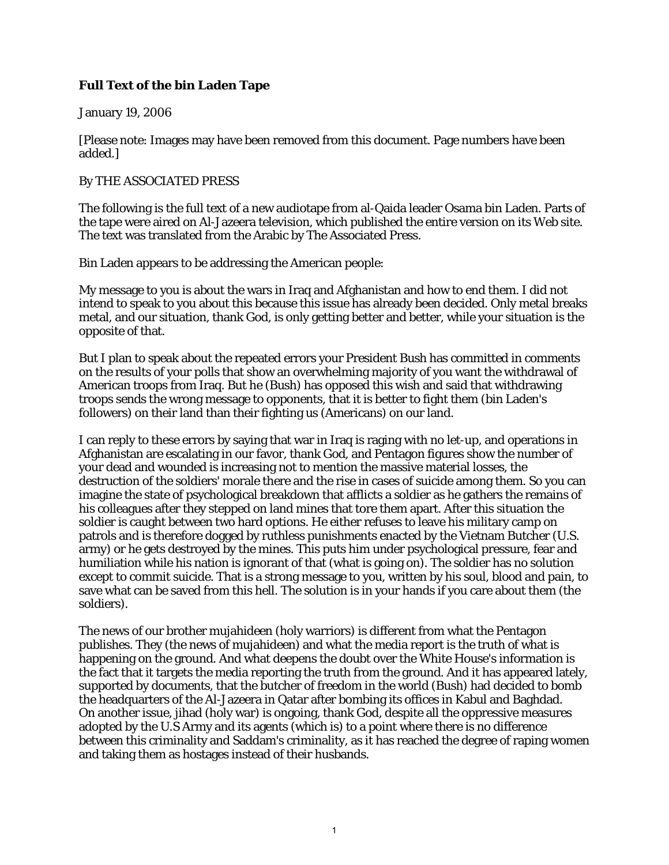## **Full Text of the bin Laden Tape**

## January 19, 2006

[Please note: Images may have been removed from this document. Page numbers have been added.]

## By THE ASSOCIATED PRESS

The following is the full text of a new audiotape from al-Qaida leader Osama bin Laden. Parts of the tape were aired on Al-Jazeera television, which published the entire version on its Web site. The text was translated from the Arabic by The Associated Press.

Bin Laden appears to be addressing the American people:

My message to you is about the wars in Iraq and Afghanistan and how to end them. I did not intend to speak to you about this because this issue has already been decided. Only metal breaks metal, and our situation, thank God, is only getting better and better, while your situation is the opposite of that.

But I plan to speak about the repeated errors your President Bush has committed in comments on the results of your polls that show an overwhelming majority of you want the withdrawal of American troops from Iraq. But he (Bush) has opposed this wish and said that withdrawing troops sends the wrong message to opponents, that it is better to fight them (bin Laden's followers) on their land than their fighting us (Americans) on our land.

I can reply to these errors by saying that war in Iraq is raging with no let-up, and operations in Afghanistan are escalating in our favor, thank God, and Pentagon figures show the number of your dead and wounded is increasing not to mention the massive material losses, the destruction of the soldiers' morale there and the rise in cases of suicide among them. So you can imagine the state of psychological breakdown that afflicts a soldier as he gathers the remains of his colleagues after they stepped on land mines that tore them apart. After this situation the soldier is caught between two hard options. He either refuses to leave his military camp on patrols and is therefore dogged by ruthless punishments enacted by the Vietnam Butcher (U.S. army) or he gets destroyed by the mines. This puts him under psychological pressure, fear and humiliation while his nation is ignorant of that (what is going on). The soldier has no solution except to commit suicide. That is a strong message to you, written by his soul, blood and pain, to save what can be saved from this hell. The solution is in your hands if you care about them (the soldiers).

The news of our brother mujahideen (holy warriors) is different from what the Pentagon publishes. They (the news of mujahideen) and what the media report is the truth of what is happening on the ground. And what deepens the doubt over the White House's information is the fact that it targets the media reporting the truth from the ground. And it has appeared lately, supported by documents, that the butcher of freedom in the world (Bush) had decided to bomb the headquarters of the Al-Jazeera in Qatar after bombing its offices in Kabul and Baghdad. On another issue, jihad (holy war) is ongoing, thank God, despite all the oppressive measures adopted by the U.S Army and its agents (which is) to a point where there is no difference between this criminality and Saddam's criminality, as it has reached the degree of raping women and taking them as hostages instead of their husbands.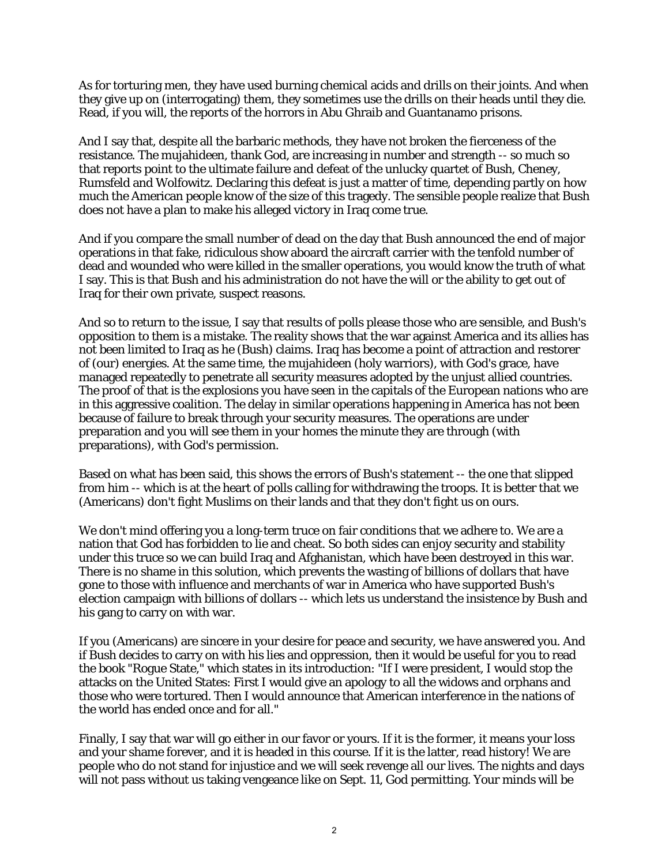As for torturing men, they have used burning chemical acids and drills on their joints. And when they give up on (interrogating) them, they sometimes use the drills on their heads until they die. Read, if you will, the reports of the horrors in Abu Ghraib and Guantanamo prisons.

And I say that, despite all the barbaric methods, they have not broken the fierceness of the resistance. The mujahideen, thank God, are increasing in number and strength -- so much so that reports point to the ultimate failure and defeat of the unlucky quartet of Bush, Cheney, Rumsfeld and Wolfowitz. Declaring this defeat is just a matter of time, depending partly on how much the American people know of the size of this tragedy. The sensible people realize that Bush does not have a plan to make his alleged victory in Iraq come true.

And if you compare the small number of dead on the day that Bush announced the end of major operations in that fake, ridiculous show aboard the aircraft carrier with the tenfold number of dead and wounded who were killed in the smaller operations, you would know the truth of what I say. This is that Bush and his administration do not have the will or the ability to get out of Iraq for their own private, suspect reasons.

And so to return to the issue, I say that results of polls please those who are sensible, and Bush's opposition to them is a mistake. The reality shows that the war against America and its allies has not been limited to Iraq as he (Bush) claims. Iraq has become a point of attraction and restorer of (our) energies. At the same time, the mujahideen (holy warriors), with God's grace, have managed repeatedly to penetrate all security measures adopted by the unjust allied countries. The proof of that is the explosions you have seen in the capitals of the European nations who are in this aggressive coalition. The delay in similar operations happening in America has not been because of failure to break through your security measures. The operations are under preparation and you will see them in your homes the minute they are through (with preparations), with God's permission.

Based on what has been said, this shows the errors of Bush's statement -- the one that slipped from him -- which is at the heart of polls calling for withdrawing the troops. It is better that we (Americans) don't fight Muslims on their lands and that they don't fight us on ours.

We don't mind offering you a long-term truce on fair conditions that we adhere to. We are a nation that God has forbidden to lie and cheat. So both sides can enjoy security and stability under this truce so we can build Iraq and Afghanistan, which have been destroyed in this war. There is no shame in this solution, which prevents the wasting of billions of dollars that have gone to those with influence and merchants of war in America who have supported Bush's election campaign with billions of dollars -- which lets us understand the insistence by Bush and his gang to carry on with war.

If you (Americans) are sincere in your desire for peace and security, we have answered you. And if Bush decides to carry on with his lies and oppression, then it would be useful for you to read the book "Rogue State," which states in its introduction: "If I were president, I would stop the attacks on the United States: First I would give an apology to all the widows and orphans and those who were tortured. Then I would announce that American interference in the nations of the world has ended once and for all."

Finally, I say that war will go either in our favor or yours. If it is the former, it means your loss and your shame forever, and it is headed in this course. If it is the latter, read history! We are people who do not stand for injustice and we will seek revenge all our lives. The nights and days will not pass without us taking vengeance like on Sept. 11, God permitting. Your minds will be